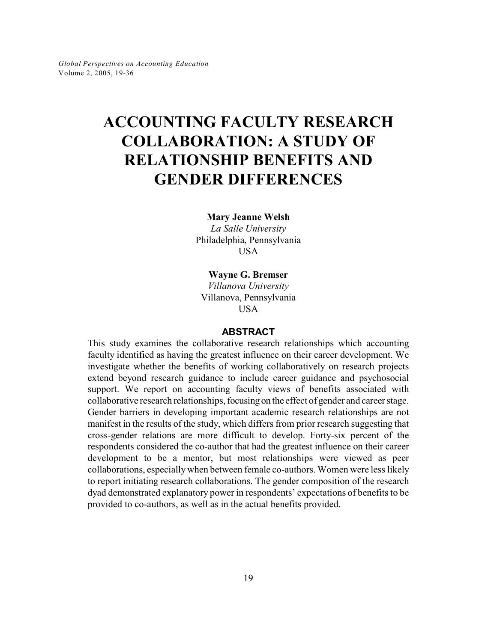# **ACCOUNTING FACULTY RESEARCH COLLABORATION: A STUDY OF RELATIONSHIP BENEFITS AND GENDER DIFFERENCES**

**Mary Jeanne Welsh**

*La Salle University* Philadelphia, Pennsylvania **USA** 

**Wayne G. Bremser** *Villanova University* Villanova, Pennsylvania

**USA** 

#### **ABSTRACT**

This study examines the collaborative research relationships which accounting faculty identified as having the greatest influence on their career development. We investigate whether the benefits of working collaboratively on research projects extend beyond research guidance to include career guidance and psychosocial support. We report on accounting faculty views of benefits associated with collaborative research relationships, focusing on the effect of gender and career stage. Gender barriers in developing important academic research relationships are not manifest in the results of the study, which differs from prior research suggesting that cross-gender relations are more difficult to develop. Forty-six percent of the respondents considered the co-author that had the greatest influence on their career development to be a mentor, but most relationships were viewed as peer collaborations, especiallywhen between female co-authors. Women were less likely to report initiating research collaborations. The gender composition of the research dyad demonstrated explanatory power in respondents' expectations of benefits to be provided to co-authors, as well as in the actual benefits provided.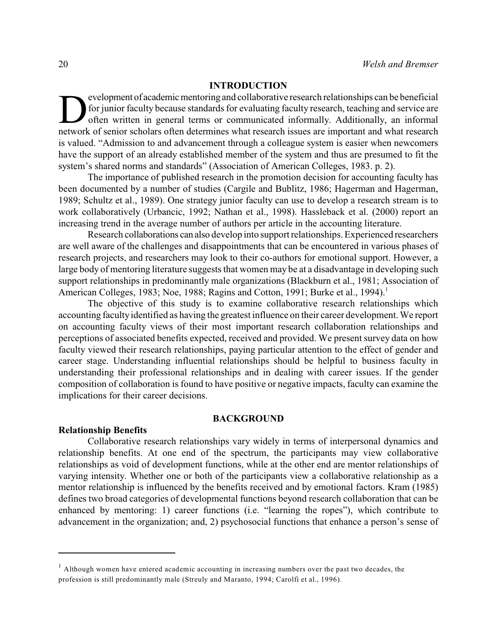### **INTRODUCTION**

evelopment of academic mentoring and collaborative research relationships can be beneficial<br>for junior faculty because standards for evaluating faculty research, teaching and service are<br>often written in general terms or c evelopment of academic mentoring and collaborative research relationships can be beneficial for junior faculty because standards for evaluating faculty research, teaching and service are often written in general terms or communicated informally. Additionally, an informal is valued. "Admission to and advancement through a colleague system is easier when newcomers have the support of an already established member of the system and thus are presumed to fit the system's shared norms and standards" (Association of American Colleges, 1983. p. 2).

The importance of published research in the promotion decision for accounting faculty has been documented by a number of studies (Cargile and Bublitz, 1986; Hagerman and Hagerman, 1989; Schultz et al., 1989). One strategy junior faculty can use to develop a research stream is to work collaboratively (Urbancic, 1992; Nathan et al., 1998). Hassleback et al. (2000) report an increasing trend in the average number of authors per article in the accounting literature.

Research collaborations can also develop into support relationships. Experienced researchers are well aware of the challenges and disappointments that can be encountered in various phases of research projects, and researchers may look to their co-authors for emotional support. However, a large body of mentoring literature suggests that women may be at a disadvantage in developing such support relationships in predominantly male organizations (Blackburn et al., 1981; Association of American Colleges, 1983; Noe, 1988; Ragins and Cotton, 1991; Burke et al., 1994).<sup>1</sup>

The objective of this study is to examine collaborative research relationships which accounting faculty identified as having the greatest influence on their career development. We report on accounting faculty views of their most important research collaboration relationships and perceptions of associated benefits expected, received and provided. We present survey data on how faculty viewed their research relationships, paying particular attention to the effect of gender and career stage. Understanding influential relationships should be helpful to business faculty in understanding their professional relationships and in dealing with career issues. If the gender composition of collaboration is found to have positive or negative impacts, faculty can examine the implications for their career decisions.

#### **BACKGROUND**

#### **Relationship Benefits**

Collaborative research relationships vary widely in terms of interpersonal dynamics and relationship benefits. At one end of the spectrum, the participants may view collaborative relationships as void of development functions, while at the other end are mentor relationships of varying intensity. Whether one or both of the participants view a collaborative relationship as a mentor relationship is influenced by the benefits received and by emotional factors. Kram (1985) defines two broad categories of developmental functions beyond research collaboration that can be enhanced by mentoring: 1) career functions (i.e. "learning the ropes"), which contribute to advancement in the organization; and, 2) psychosocial functions that enhance a person's sense of

 $<sup>1</sup>$  Although women have entered academic accounting in increasing numbers over the past two decades, the</sup> profession is still predominantly male (Streuly and Maranto, 1994; Carolfi et al., 1996).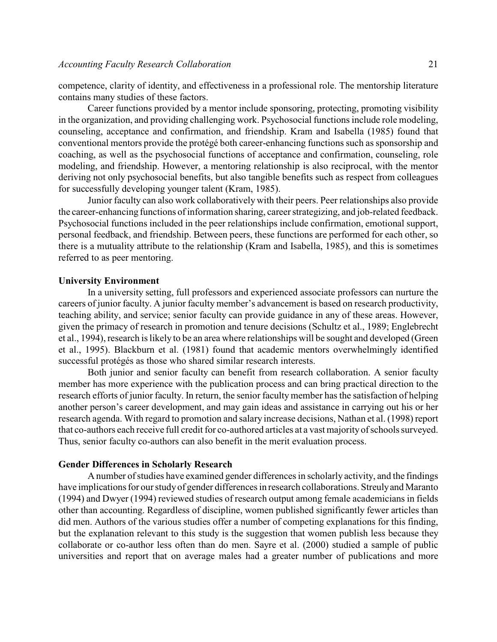competence, clarity of identity, and effectiveness in a professional role. The mentorship literature contains many studies of these factors.

Career functions provided by a mentor include sponsoring, protecting, promoting visibility in the organization, and providing challenging work. Psychosocial functions include role modeling, counseling, acceptance and confirmation, and friendship. Kram and Isabella (1985) found that conventional mentors provide the protégé both career-enhancing functions such as sponsorship and coaching, as well as the psychosocial functions of acceptance and confirmation, counseling, role modeling, and friendship. However, a mentoring relationship is also reciprocal, with the mentor deriving not only psychosocial benefits, but also tangible benefits such as respect from colleagues for successfully developing younger talent (Kram, 1985).

Junior faculty can also work collaboratively with their peers. Peer relationships also provide the career-enhancing functions of information sharing, career strategizing, and job-related feedback. Psychosocial functions included in the peer relationships include confirmation, emotional support, personal feedback, and friendship. Between peers, these functions are performed for each other, so there is a mutuality attribute to the relationship (Kram and Isabella, 1985), and this is sometimes referred to as peer mentoring.

#### **University Environment**

In a university setting, full professors and experienced associate professors can nurture the careers of junior faculty. A junior faculty member's advancement is based on research productivity, teaching ability, and service; senior faculty can provide guidance in any of these areas. However, given the primacy of research in promotion and tenure decisions (Schultz et al., 1989; Englebrecht et al., 1994), research is likely to be an area where relationships will be sought and developed (Green et al., 1995). Blackburn et al. (1981) found that academic mentors overwhelmingly identified successful protégés as those who shared similar research interests.

Both junior and senior faculty can benefit from research collaboration. A senior faculty member has more experience with the publication process and can bring practical direction to the research efforts of junior faculty. In return, the senior faculty member has the satisfaction of helping another person's career development, and may gain ideas and assistance in carrying out his or her research agenda. With regard to promotion and salary increase decisions, Nathan et al. (1998) report that co-authors each receive full credit for co-authored articles at a vast majority of schools surveyed. Thus, senior faculty co-authors can also benefit in the merit evaluation process.

#### **Gender Differences in Scholarly Research**

A number of studies have examined gender differences in scholarly activity, and the findings have implications for our study of gender differences in research collaborations. Streuly and Maranto (1994) and Dwyer (1994) reviewed studies of research output among female academicians in fields other than accounting. Regardless of discipline, women published significantly fewer articles than did men. Authors of the various studies offer a number of competing explanations for this finding, but the explanation relevant to this study is the suggestion that women publish less because they collaborate or co-author less often than do men. Sayre et al. (2000) studied a sample of public universities and report that on average males had a greater number of publications and more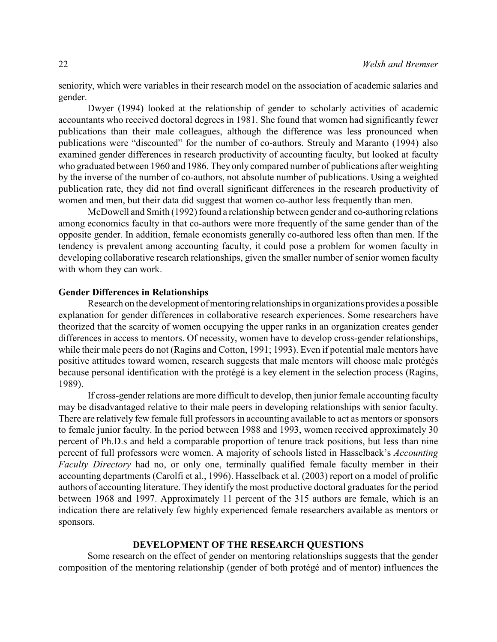seniority, which were variables in their research model on the association of academic salaries and gender.

Dwyer (1994) looked at the relationship of gender to scholarly activities of academic accountants who received doctoral degrees in 1981. She found that women had significantly fewer publications than their male colleagues, although the difference was less pronounced when publications were "discounted" for the number of co-authors. Streuly and Maranto (1994) also examined gender differences in research productivity of accounting faculty, but looked at faculty who graduated between 1960 and 1986. They only compared number of publications after weighting by the inverse of the number of co-authors, not absolute number of publications. Using a weighted publication rate, they did not find overall significant differences in the research productivity of women and men, but their data did suggest that women co-author less frequently than men.

McDowell and Smith (1992) found a relationship between gender and co-authoring relations among economics faculty in that co-authors were more frequently of the same gender than of the opposite gender. In addition, female economists generally co-authored less often than men. If the tendency is prevalent among accounting faculty, it could pose a problem for women faculty in developing collaborative research relationships, given the smaller number of senior women faculty with whom they can work.

### **Gender Differences in Relationships**

Research on the development of mentoring relationships in organizations provides a possible explanation for gender differences in collaborative research experiences. Some researchers have theorized that the scarcity of women occupying the upper ranks in an organization creates gender differences in access to mentors. Of necessity, women have to develop cross-gender relationships, while their male peers do not (Ragins and Cotton, 1991; 1993). Even if potential male mentors have positive attitudes toward women, research suggests that male mentors will choose male protégés because personal identification with the protégé is a key element in the selection process (Ragins, 1989).

If cross-gender relations are more difficult to develop, then junior female accounting faculty may be disadvantaged relative to their male peers in developing relationships with senior faculty. There are relatively few female full professors in accounting available to act as mentors or sponsors to female junior faculty. In the period between 1988 and 1993, women received approximately 30 percent of Ph.D.s and held a comparable proportion of tenure track positions, but less than nine percent of full professors were women. A majority of schools listed in Hasselback's *Accounting Faculty Directory* had no, or only one, terminally qualified female faculty member in their accounting departments (Carolfi et al., 1996). Hasselback et al. (2003) report on a model of prolific authors of accounting literature. They identify the most productive doctoral graduates for the period between 1968 and 1997. Approximately 11 percent of the 315 authors are female, which is an indication there are relatively few highly experienced female researchers available as mentors or sponsors.

# **DEVELOPMENT OF THE RESEARCH QUESTIONS**

Some research on the effect of gender on mentoring relationships suggests that the gender composition of the mentoring relationship (gender of both protégé and of mentor) influences the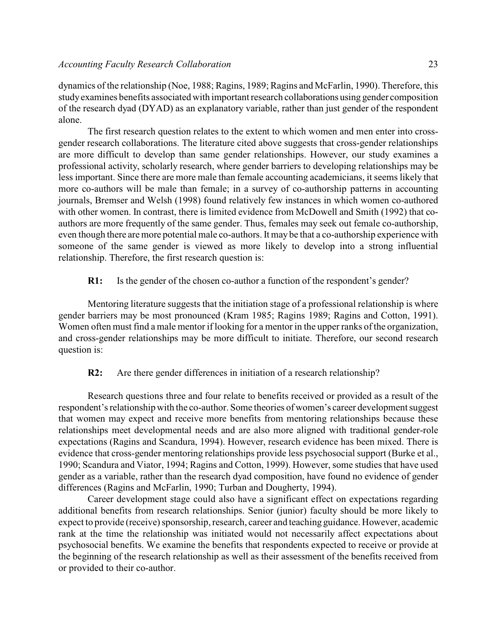dynamics of the relationship (Noe, 1988; Ragins, 1989; Ragins and McFarlin, 1990). Therefore, this study examines benefits associated with important research collaborations using gender composition of the research dyad (DYAD) as an explanatory variable, rather than just gender of the respondent alone.

The first research question relates to the extent to which women and men enter into crossgender research collaborations. The literature cited above suggests that cross-gender relationships are more difficult to develop than same gender relationships. However, our study examines a professional activity, scholarly research, where gender barriers to developing relationships may be less important. Since there are more male than female accounting academicians, it seems likely that more co-authors will be male than female; in a survey of co-authorship patterns in accounting journals, Bremser and Welsh (1998) found relatively few instances in which women co-authored with other women. In contrast, there is limited evidence from McDowell and Smith (1992) that coauthors are more frequently of the same gender. Thus, females may seek out female co-authorship, even though there aremore potential male co-authors.It may be that a co-authorship experience with someone of the same gender is viewed as more likely to develop into a strong influential relationship. Therefore, the first research question is:

# **R1:** Is the gender of the chosen co-author a function of the respondent's gender?

Mentoring literature suggests that the initiation stage of a professional relationship is where gender barriers may be most pronounced (Kram 1985; Ragins 1989; Ragins and Cotton, 1991). Women often must find a male mentor if looking for a mentor in the upper ranks of the organization, and cross-gender relationships may be more difficult to initiate. Therefore, our second research question is:

**R2:** Are there gender differences in initiation of a research relationship?

Research questions three and four relate to benefits received or provided as a result of the respondent's relationship with the co-author. Some theories of women's career development suggest that women may expect and receive more benefits from mentoring relationships because these relationships meet developmental needs and are also more aligned with traditional gender-role expectations (Ragins and Scandura, 1994). However, research evidence has been mixed. There is evidence that cross-gender mentoring relationships provide less psychosocial support (Burke et al., 1990; Scandura and Viator, 1994; Ragins and Cotton, 1999). However, some studies that have used gender as a variable, rather than the research dyad composition, have found no evidence of gender differences (Ragins and McFarlin, 1990; Turban and Dougherty, 1994).

Career development stage could also have a significant effect on expectations regarding additional benefits from research relationships. Senior (junior) faculty should be more likely to expect to provide (receive) sponsorship, research, career and teaching guidance. However, academic rank at the time the relationship was initiated would not necessarily affect expectations about psychosocial benefits. We examine the benefits that respondents expected to receive or provide at the beginning of the research relationship as well as their assessment of the benefits received from or provided to their co-author.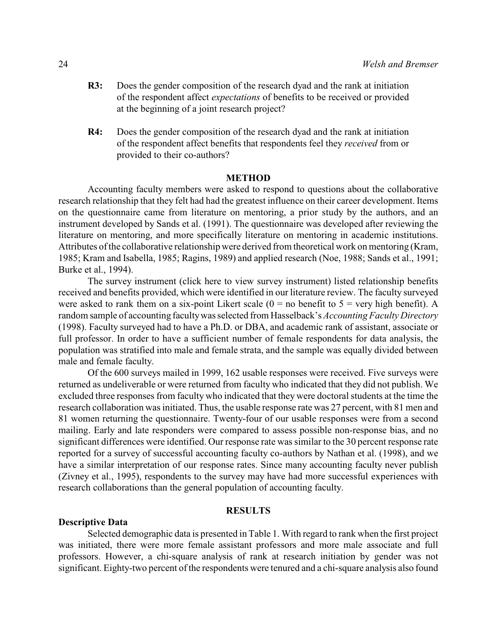- **R3:** Does the gender composition of the research dyad and the rank at initiation of the respondent affect *expectations* of benefits to be received or provided at the beginning of a joint research project?
- **R4:** Does the gender composition of the research dyad and the rank at initiation of the respondent affect benefits that respondents feel they *received* from or provided to their co-authors?

# **METHOD**

Accounting faculty members were asked to respond to questions about the collaborative research relationship that they felt had had the greatest influence on their career development. Items on the questionnaire came from literature on mentoring, a prior study by the authors, and an instrument developed by Sands et al. (1991). The questionnaire was developed after reviewing the literature on mentoring, and more specifically literature on mentoring in academic institutions. Attributes of the collaborative relationship were derived from theoretical work on mentoring (Kram, 1985; Kram and Isabella, 1985; Ragins, 1989) and applied research (Noe, 1988; Sands et al., 1991; Burke et al., 1994).

The survey instrument (click here to view survey instrument) listed relationship benefits received and benefits provided, which were identified in our literature review. The faculty surveyed were asked to rank them on a six-point Likert scale  $(0 = no$  benefit to  $5 = very$  high benefit). A random sample of accounting facultywas selected from Hasselback's *Accounting Faculty Directory* (1998). Faculty surveyed had to have a Ph.D. or DBA, and academic rank of assistant, associate or full professor. In order to have a sufficient number of female respondents for data analysis, the population was stratified into male and female strata, and the sample was equally divided between male and female faculty.

Of the 600 surveys mailed in 1999, 162 usable responses were received. Five surveys were returned as undeliverable or were returned from faculty who indicated that they did not publish. We excluded three responses from faculty who indicated that they were doctoral students at the time the research collaboration was initiated. Thus, the usable response rate was 27 percent, with 81 men and 81 women returning the questionnaire. Twenty-four of our usable responses were from a second mailing. Early and late responders were compared to assess possible non-response bias, and no significant differences were identified. Our response rate was similar to the 30 percent response rate reported for a survey of successful accounting faculty co-authors by Nathan et al. (1998), and we have a similar interpretation of our response rates. Since many accounting faculty never publish (Zivney et al., 1995), respondents to the survey may have had more successful experiences with research collaborations than the general population of accounting faculty.

#### **RESULTS**

#### **Descriptive Data**

Selected demographic data is presented in Table 1. With regard to rank when the first project was initiated, there were more female assistant professors and more male associate and full professors. However, a chi-square analysis of rank at research initiation by gender was not significant. Eighty-two percent of the respondents were tenured and a chi-square analysis also found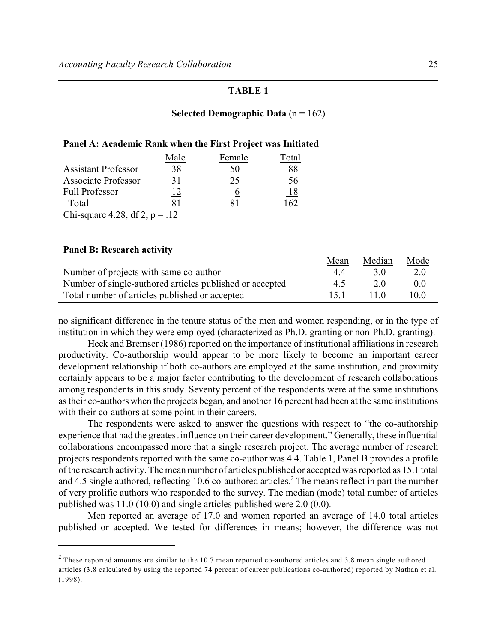# **Selected Demographic Data** (n = 162)

| Panel A: Academic Rank when the First Project was Initiated |      |        |       |
|-------------------------------------------------------------|------|--------|-------|
|                                                             | Male | Female | Total |

| <b>Assistant Professor</b>       | 38               | 50 |            |
|----------------------------------|------------------|----|------------|
| <b>Associate Professor</b>       | 31               | 25 | 56         |
| <b>Full Professor</b>            |                  |    | <u>18</u>  |
| Total                            | $\underline{81}$ |    | <u>162</u> |
| Chi-square 4.28, df 2, $p = .12$ |                  |    |            |

# **Panel B: Research activity**

|                                                          | Mean | Median | <b>Node</b> |
|----------------------------------------------------------|------|--------|-------------|
| Number of projects with same co-author                   | 44   | 30     | 2.0         |
| Number of single-authored articles published or accepted | 45   | 2.0    | 0.0         |
| Total number of articles published or accepted           | 15 1 | 110    | 10.0        |

no significant difference in the tenure status of the men and women responding, or in the type of institution in which they were employed (characterized as Ph.D. granting or non-Ph.D. granting).

Heck and Bremser (1986) reported on the importance of institutional affiliations in research productivity. Co-authorship would appear to be more likely to become an important career development relationship if both co-authors are employed at the same institution, and proximity certainly appears to be a major factor contributing to the development of research collaborations among respondents in this study. Seventy percent of the respondents were at the same institutions as their co-authors when the projects began, and another 16 percent had been at the same institutions with their co-authors at some point in their careers.

The respondents were asked to answer the questions with respect to "the co-authorship experience that had the greatest influence on their career development." Generally, these influential collaborations encompassed more that a single research project. The average number of research projects respondents reported with the same co-author was 4.4. Table 1, Panel B provides a profile of the research activity. The mean number of articles published or accepted was reported as 15.1 total and 4.5 single authored, reflecting 10.6 co-authored articles.<sup>2</sup> The means reflect in part the number of very prolific authors who responded to the survey. The median (mode) total number of articles published was 11.0 (10.0) and single articles published were 2.0 (0.0).

Men reported an average of 17.0 and women reported an average of 14.0 total articles published or accepted. We tested for differences in means; however, the difference was not

Mean Median Mode

<sup>&</sup>lt;sup>2</sup> These reported amounts are similar to the 10.7 mean reported co-authored articles and 3.8 mean single authored articles (3.8 calculated by using the reported 74 percent of career publications co-authored) reported by Nathan et al. (1998).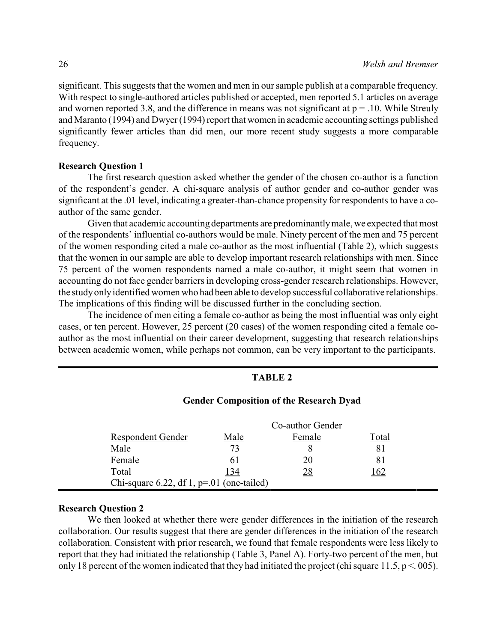significant. This suggests that the women and men in our sample publish at a comparable frequency. With respect to single-authored articles published or accepted, men reported 5.1 articles on average and women reported 3.8, and the difference in means was not significant at  $p = 0.10$ . While Streuly and Maranto (1994) and Dwyer (1994) report that women in academic accounting settings published significantly fewer articles than did men, our more recent study suggests a more comparable frequency.

#### **Research Question 1**

The first research question asked whether the gender of the chosen co-author is a function of the respondent's gender. A chi-square analysis of author gender and co-author gender was significant at the .01 level, indicating a greater-than-chance propensity for respondents to have a coauthor of the same gender.

Given that academic accounting departments are predominantlymale, we expected that most of the respondents' influential co-authors would be male. Ninety percent of the men and 75 percent of the women responding cited a male co-author as the most influential (Table 2), which suggests that the women in our sample are able to develop important research relationships with men. Since 75 percent of the women respondents named a male co-author, it might seem that women in accounting do not face gender barriers in developing cross-gender research relationships. However, the study only identified women who had been able to develop successful collaborative relationships. The implications of this finding will be discussed further in the concluding section.

The incidence of men citing a female co-author as being the most influential was only eight cases, or ten percent. However, 25 percent (20 cases) of the women responding cited a female coauthor as the most influential on their career development, suggesting that research relationships between academic women, while perhaps not common, can be very important to the participants.

#### **TABLE 2**

|                                            |             | Co-author Gender |             |
|--------------------------------------------|-------------|------------------|-------------|
| <b>Respondent Gender</b>                   | Male        | Female           | Total       |
| Male                                       | 73          |                  | 8.          |
| Female                                     | 01          | 20               | <u>81</u>   |
| Total                                      | <u> 134</u> | <u>28</u>        | <u> 162</u> |
| Chi-square 6.22, df 1, $p=01$ (one-tailed) |             |                  |             |

# **Gender Composition of the Research Dyad**

#### **Research Question 2**

We then looked at whether there were gender differences in the initiation of the research collaboration. Our results suggest that there are gender differences in the initiation of the research collaboration. Consistent with prior research, we found that female respondents were less likely to report that they had initiated the relationship (Table 3, Panel A). Forty-two percent of the men, but only 18 percent of the women indicated that they had initiated the project (chi square 11.5,  $p < .005$ ).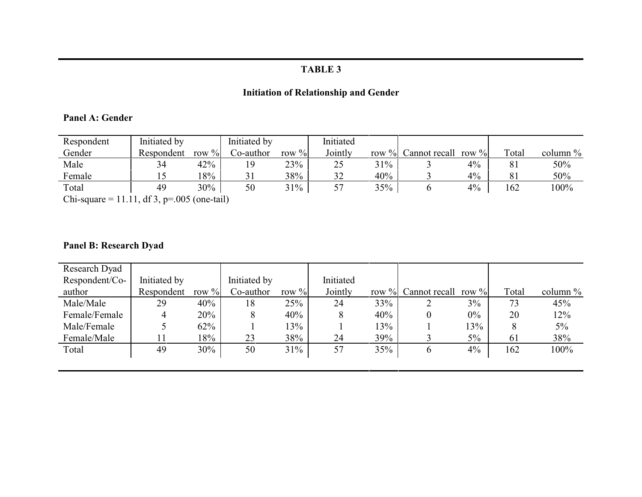# **Initiation of Relationship and Gender**

# **Panel A: Gender**

| Respondent                                | Initiated by |             | Initiated by |          | Initiated |     |                        |          |       |             |
|-------------------------------------------|--------------|-------------|--------------|----------|-----------|-----|------------------------|----------|-------|-------------|
| Gender                                    | Respondent   | $\%$<br>row | Co-author    | row $\%$ | Jointly   |     | row $\%$ Cannot recall | row $\%$ | Total | column $\%$ |
| Male                                      | 34           | 42%         |              | 23%      | 25        | 31% |                        | 4%       | 81    | 50%         |
| Female                                    |              | 18%         |              | 38%      | 32        | 40% |                        | $4\%$    | 81    | 50%         |
| Total                                     | 49           | 30%         | 50           | 31%      |           | 35% |                        | 4%       | 162   | $100\%$     |
| Chi square = 11.11 df 2 n= 005 (eng toil) |              |             |              |          |           |     |                        |          |       |             |

Chi-square =  $11.11$ , df 3, p=.005 (one-tail)

# **Panel B: Research Dyad**

| Research Dyad  |              |          |              |          |           |     |                     |          |       |             |
|----------------|--------------|----------|--------------|----------|-----------|-----|---------------------|----------|-------|-------------|
| Respondent/Co- | Initiated by |          | Initiated by |          | Initiated |     |                     |          |       |             |
| author         | Respondent   | row $\%$ | Co-author    | row $\%$ | Jointly   |     | row % Cannot recall | row $\%$ | Total | column $\%$ |
| Male/Male      | 29           | 40%      | 18           | 25%      | 24        | 33% | ∠                   | 3%       | 73    | 45%         |
| Female/Female  | 4            | 20%      | 8            | 40%      | 8         | 40% | $\theta$            | $0\%$    | 20    | 12%         |
| Male/Female    |              | 62%      |              | 13%      |           | 13% |                     | 13%      | 8     | $5\%$       |
| Female/Male    | 11           | 18%      | 23           | 38%      | 24        | 39% |                     | $5\%$    | 61    | 38%         |
| Total          | 49           | 30%      | 50           | 31%      | 57        | 35% | $\mathbf b$         | 4%       | 162   | 100%        |
|                |              |          |              |          |           |     |                     |          |       |             |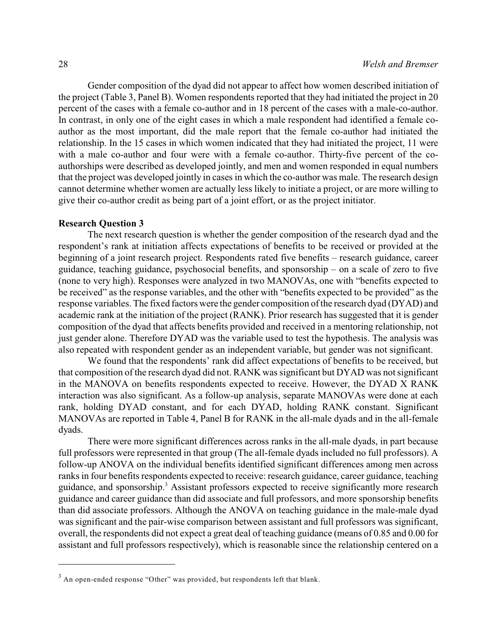Gender composition of the dyad did not appear to affect how women described initiation of the project (Table 3, Panel B). Women respondents reported that they had initiated the project in 20 percent of the cases with a female co-author and in 18 percent of the cases with a male-co-author. In contrast, in only one of the eight cases in which a male respondent had identified a female coauthor as the most important, did the male report that the female co-author had initiated the relationship. In the 15 cases in which women indicated that they had initiated the project, 11 were with a male co-author and four were with a female co-author. Thirty-five percent of the coauthorships were described as developed jointly, and men and women responded in equal numbers that the project was developed jointly in cases in which the co-author was male. The research design cannot determine whether women are actually less likely to initiate a project, or are more willing to give their co-author credit as being part of a joint effort, or as the project initiator.

#### **Research Question 3**

The next research question is whether the gender composition of the research dyad and the respondent's rank at initiation affects expectations of benefits to be received or provided at the beginning of a joint research project. Respondents rated five benefits – research guidance, career guidance, teaching guidance, psychosocial benefits, and sponsorship – on a scale of zero to five (none to very high). Responses were analyzed in two MANOVAs, one with "benefits expected to be received" as the response variables, and the other with "benefits expected to be provided" as the response variables. The fixed factors were the gender composition of the research dyad (DYAD) and academic rank at the initiation of the project (RANK). Prior research has suggested that it is gender composition of the dyad that affects benefits provided and received in a mentoring relationship, not just gender alone. Therefore DYAD was the variable used to test the hypothesis. The analysis was also repeated with respondent gender as an independent variable, but gender was not significant.

We found that the respondents' rank did affect expectations of benefits to be received, but that composition of the research dyad did not. RANK was significant but DYAD was not significant in the MANOVA on benefits respondents expected to receive. However, the DYAD X RANK interaction was also significant. As a follow-up analysis, separate MANOVAs were done at each rank, holding DYAD constant, and for each DYAD, holding RANK constant. Significant MANOVAs are reported in Table 4, Panel B for RANK in the all-male dyads and in the all-female dyads.

There were more significant differences across ranks in the all-male dyads, in part because full professors were represented in that group (The all-female dyads included no full professors). A follow-up ANOVA on the individual benefits identified significant differences among men across ranks in four benefits respondents expected to receive: research guidance, career guidance, teaching guidance, and sponsorship.<sup>3</sup> Assistant professors expected to receive significantly more research guidance and career guidance than did associate and full professors, and more sponsorship benefits than did associate professors. Although the ANOVA on teaching guidance in the male-male dyad was significant and the pair-wise comparison between assistant and full professors was significant, overall, the respondents did not expect a great deal of teaching guidance (means of 0.85 and 0.00 for assistant and full professors respectively), which is reasonable since the relationship centered on a

 $3$  An open-ended response "Other" was provided, but respondents left that blank.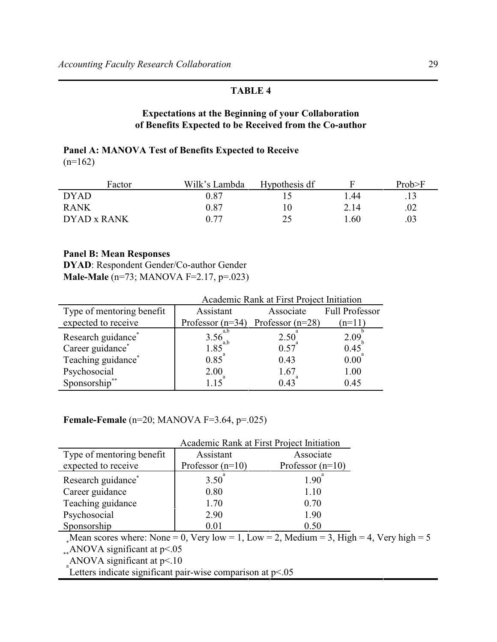# **Expectations at the Beginning of your Collaboration of Benefits Expected to be Received from the Co-author**

# **Panel A: MANOVA Test of Benefits Expected to Receive**  $(n=162)$

| Factor      | Wilk's Lambda | Hypothesis df |      | Prob>F |
|-------------|---------------|---------------|------|--------|
| <b>DYAD</b> | 9.87          |               | .44  |        |
| <b>RANK</b> | 0.87          |               | 2.14 | .02    |
| DYAD x RANK | 0.77          | つく            | .60  | .03    |

# **Panel B: Mean Responses**

**DYAD**: Respondent Gender/Co-author Gender **Male-Male** (n=73; MANOVA F=2.17, p=.023)

|                                | Academic Rank at First Project Initiation |                                       |                       |  |  |
|--------------------------------|-------------------------------------------|---------------------------------------|-----------------------|--|--|
| Type of mentoring benefit      | Assistant                                 | Associate                             | <b>Full Professor</b> |  |  |
| expected to receive            |                                           | Professor $(n=34)$ Professor $(n=28)$ | $(n=11)$              |  |  |
| Research guidance <sup>*</sup> | $3.56^{a,b}_{a,b}$<br>1.85                | $2.50^{\degree}$                      | 2.09                  |  |  |
| Career guidance*               |                                           | 0.57                                  | 0.45                  |  |  |
| Teaching guidance*             | 0.85                                      | 0.43                                  | 0.00                  |  |  |
| Psychosocial                   | 2.00                                      | 1.67                                  | 1.00                  |  |  |
| Sponsorship**                  | 115                                       | $0.43^{^{a}}$                         | 0.45                  |  |  |

## **Female-Female** (n=20; MANOVA F=3.64, p=.025)

|                                                                                                                                              | Academic Rank at First Project Initiation |                    |  |  |  |  |
|----------------------------------------------------------------------------------------------------------------------------------------------|-------------------------------------------|--------------------|--|--|--|--|
| Type of mentoring benefit                                                                                                                    | Assistant                                 | Associate          |  |  |  |  |
| expected to receive                                                                                                                          | Professor $(n=10)$                        | Professor $(n=10)$ |  |  |  |  |
| Research guidance <sup>*</sup>                                                                                                               | $3.50^{8}$                                | 1.90               |  |  |  |  |
| Career guidance                                                                                                                              | 0.80                                      | 1.10               |  |  |  |  |
| Teaching guidance                                                                                                                            | 1.70                                      | 0.70               |  |  |  |  |
| Psychosocial                                                                                                                                 | 2.90                                      | 1.90               |  |  |  |  |
| Sponsorship                                                                                                                                  | 0.01                                      | 0.50               |  |  |  |  |
| Moon seeing where $N_{\text{one}} = 0$ , $N_{\text{out}} 1_{\text{out}} = 1$ , $I_{\text{out}} = 2$ , $M_{\text{out}} = 2$ , $I_{\text{in}}$ |                                           |                    |  |  |  |  |

Mean scores where: None = 0, Very low = 1, Low = 2, Medium = 3, High = 4, Very high =  $5$ 

 $*$ ANOVA significant at p<.05

 $_{a}^{*+1}$  ANOVA significant at p<.10

Letters indicate significant pair-wise comparison at  $p$ <.05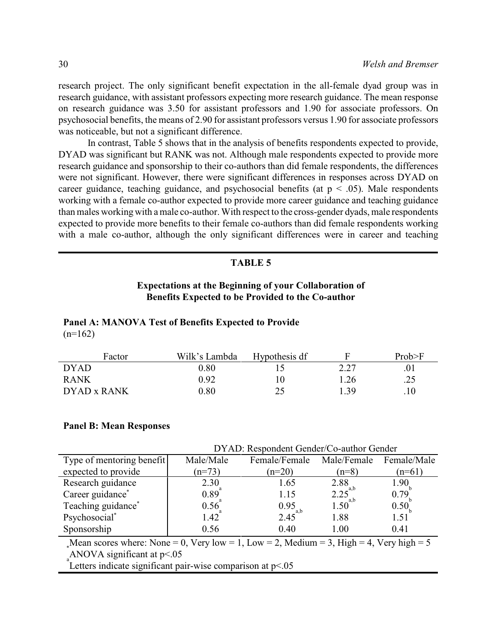research project. The only significant benefit expectation in the all-female dyad group was in research guidance, with assistant professors expecting more research guidance. The mean response on research guidance was 3.50 for assistant professors and 1.90 for associate professors. On psychosocial benefits, the means of 2.90 for assistant professors versus 1.90 for associate professors was noticeable, but not a significant difference.

In contrast, Table 5 shows that in the analysis of benefits respondents expected to provide, DYAD was significant but RANK was not. Although male respondents expected to provide more research guidance and sponsorship to their co-authors than did female respondents, the differences were not significant. However, there were significant differences in responses across DYAD on career guidance, teaching guidance, and psychosocial benefits (at  $p \leq .05$ ). Male respondents working with a female co-author expected to provide more career guidance and teaching guidance than males working with a male co-author. With respect to the cross-gender dyads, male respondents expected to provide more benefits to their female co-authors than did female respondents working with a male co-author, although the only significant differences were in career and teaching

#### **TABLE 5**

# **Expectations at the Beginning of your Collaboration of Benefits Expected to be Provided to the Co-author**

#### **Panel A: MANOVA Test of Benefits Expected to Provide**  $(n=162)$

| Factor      | Wilk's Lambda | Hypothesis df |      | Prob>F  |
|-------------|---------------|---------------|------|---------|
| <b>DYAD</b> | 0.80          |               | 2.27 | .01     |
| <b>RANK</b> | 0.92          | $\theta$      | 1.26 | .25     |
| DYAD x RANK | 0.80          | つく            | 1.39 | $.10\,$ |

#### **Panel B: Mean Responses**

|                                                                                                                            | DYAD: Respondent Gender/Co-author Gender |                                              |             |             |  |  |
|----------------------------------------------------------------------------------------------------------------------------|------------------------------------------|----------------------------------------------|-------------|-------------|--|--|
| Type of mentoring benefit                                                                                                  | Male/Male                                | Female/Female                                | Male/Female | Female/Male |  |  |
| expected to provide                                                                                                        | $(n=73)$                                 | $(n=20)$                                     | $(n=8)$     | $(n=61)$    |  |  |
| Research guidance                                                                                                          | 2.30                                     | 1.65                                         | 2.88        | 1.90        |  |  |
| Career guidance*                                                                                                           | 0.89                                     | 1.15                                         | 2.25<br>a.b | 0.79        |  |  |
| Teaching guidance*                                                                                                         | 0.56                                     |                                              | 1.50        | 0.50        |  |  |
| Psychosocial*                                                                                                              | 1.42                                     | $0.95$ <sub>a,b</sub><br>2.45 <sup>a,b</sup> | 1.88        | 1.51        |  |  |
| Sponsorship                                                                                                                | 0.56                                     | 0.40                                         | 1.00        | 0.41        |  |  |
| Mean scores where: None = 0, Very low = 1, Low = 2, Medium = 3, High = 4, Very high = $5$<br>ANOVA significant at $p<0.05$ |                                          |                                              |             |             |  |  |

Letters indicate significant pair-wise comparison at p<.05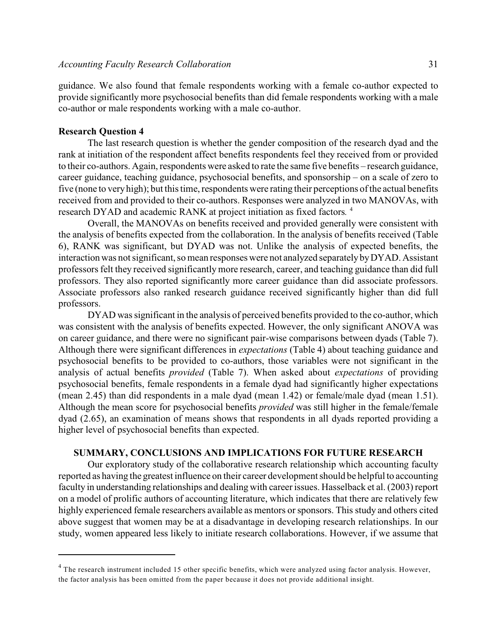guidance. We also found that female respondents working with a female co-author expected to provide significantly more psychosocial benefits than did female respondents working with a male co-author or male respondents working with a male co-author.

#### **Research Question 4**

The last research question is whether the gender composition of the research dyad and the rank at initiation of the respondent affect benefits respondents feel they received from or provided to their co-authors. Again, respondents were asked to rate the same five benefits – research guidance, career guidance, teaching guidance, psychosocial benefits, and sponsorship – on a scale of zero to five (none to very high); but this time, respondents were rating their perceptions of the actual benefits received from and provided to their co-authors. Responses were analyzed in two MANOVAs, with research DYAD and academic RANK at project initiation as fixed factors*.*  4

Overall, the MANOVAs on benefits received and provided generally were consistent with the analysis of benefits expected from the collaboration. In the analysis of benefits received (Table 6), RANK was significant, but DYAD was not. Unlike the analysis of expected benefits, the interaction was not significant, so mean responses were not analyzed separately by DYAD. Assistant professors felt they received significantly more research, career, and teaching guidance than did full professors. They also reported significantly more career guidance than did associate professors. Associate professors also ranked research guidance received significantly higher than did full professors.

DYAD was significant in the analysis of perceived benefits provided to the co-author, which was consistent with the analysis of benefits expected. However, the only significant ANOVA was on career guidance, and there were no significant pair-wise comparisons between dyads (Table 7). Although there were significant differences in *expectations* (Table 4) about teaching guidance and psychosocial benefits to be provided to co-authors, those variables were not significant in the analysis of actual benefits *provided* (Table 7). When asked about *expectations* of providing psychosocial benefits, female respondents in a female dyad had significantly higher expectations (mean 2.45) than did respondents in a male dyad (mean 1.42) or female/male dyad (mean 1.51). Although the mean score for psychosocial benefits *provided* was still higher in the female/female dyad (2.65), an examination of means shows that respondents in all dyads reported providing a higher level of psychosocial benefits than expected.

#### **SUMMARY, CONCLUSIONS AND IMPLICATIONS FOR FUTURE RESEARCH**

Our exploratory study of the collaborative research relationship which accounting faculty reported as having the greatest influence on their career development should be helpful to accounting faculty in understanding relationships and dealing with career issues. Hasselback et al. (2003) report on a model of prolific authors of accounting literature, which indicates that there are relatively few highly experienced female researchers available as mentors or sponsors. This study and others cited above suggest that women may be at a disadvantage in developing research relationships. In our study, women appeared less likely to initiate research collaborations. However, if we assume that

 $4$  The research instrument included 15 other specific benefits, which were analyzed using factor analysis. However, the factor analysis has been omitted from the paper because it does not provide additional insight.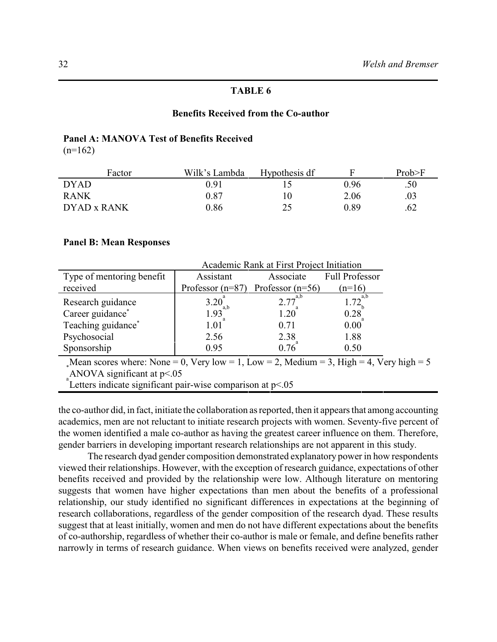#### **Benefits Received from the Co-author**

# **Panel A: MANOVA Test of Benefits Received**

 $(n=162)$ 

| Factor      | Wilk's Lambda | Hypothesis df |      | Prob>F |
|-------------|---------------|---------------|------|--------|
| <b>DYAD</b> | 0.91          |               | 0.96 | .50    |
| <b>RANK</b> | 0.87          |               | 2.06 | .03    |
| DYAD x RANK | 0.86          | 25            | 0.89 | .62    |

#### **Panel B: Mean Responses**

|                                                                                         | Academic Rank at First Project Initiation |                                       |                       |  |  |  |
|-----------------------------------------------------------------------------------------|-------------------------------------------|---------------------------------------|-----------------------|--|--|--|
| Type of mentoring benefit                                                               | Assistant                                 | Associate                             | <b>Full Professor</b> |  |  |  |
| received                                                                                |                                           | Professor $(n=87)$ Professor $(n=56)$ | $(n=16)$              |  |  |  |
| Research guidance                                                                       | $3.20^a_{a,b}$<br>1.93                    | $2.77^{a,b}$                          | $1.72^{a,b}_1$        |  |  |  |
| Career guidance*                                                                        |                                           | 1.20                                  | 0.28                  |  |  |  |
| Teaching guidance*                                                                      | $1.01$ <sup>*</sup>                       | 0.71                                  | $0.00^{\degree}$      |  |  |  |
| Psychosocial                                                                            | 2.56                                      | 2.38                                  | 1.88                  |  |  |  |
| Sponsorship                                                                             | 0.95                                      | 0.76                                  | 0.50                  |  |  |  |
| Mean scores where: None = 0, Very low = 1, Low = 2, Medium = 3, High = 4, Very high = 5 |                                           |                                       |                       |  |  |  |
| $\Lambda N\Omega V\Lambda$ significant at $n < \Omega F$                                |                                           |                                       |                       |  |  |  |

ANOVA significant at  $p<0.05$ 

Letters indicate significant pair-wise comparison at p<.05

the co-author did, in fact, initiate the collaboration as reported, then it appears that among accounting academics, men are not reluctant to initiate research projects with women. Seventy-five percent of the women identified a male co-author as having the greatest career influence on them. Therefore, gender barriers in developing important research relationships are not apparent in this study.

The research dyad gender composition demonstrated explanatory power in how respondents viewed their relationships. However, with the exception of research guidance, expectations of other benefits received and provided by the relationship were low. Although literature on mentoring suggests that women have higher expectations than men about the benefits of a professional relationship, our study identified no significant differences in expectations at the beginning of research collaborations, regardless of the gender composition of the research dyad. These results suggest that at least initially, women and men do not have different expectations about the benefits of co-authorship, regardless of whether their co-author is male or female, and define benefits rather narrowly in terms of research guidance. When views on benefits received were analyzed, gender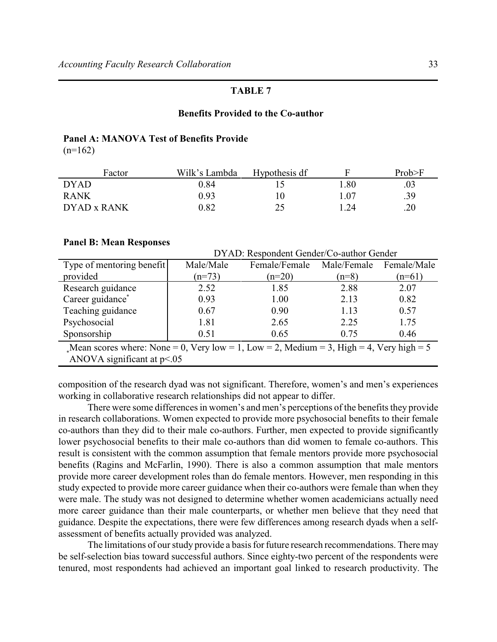# **Benefits Provided to the Co-author**

#### **Panel A: MANOVA Test of Benefits Provide**

 $(n=162)$ 

| Factor      | Wilk's Lambda | Hypothesis df |      | Prob>F |
|-------------|---------------|---------------|------|--------|
| <b>DYAD</b> | 0.84          |               | .80  | .03    |
| <b>RANK</b> | 0.93          |               | 1.07 | .39    |
| DYAD x RANK | 0.82          | つく            | .24  | .20    |

#### **Panel B: Mean Responses**

|                                                                                           | DYAD: Respondent Gender/Co-author Gender |               |             |             |  |  |
|-------------------------------------------------------------------------------------------|------------------------------------------|---------------|-------------|-------------|--|--|
| Type of mentoring benefit                                                                 | Male/Male                                | Female/Female | Male/Female | Female/Male |  |  |
| provided                                                                                  | $(n=73)$                                 | $(n=20)$      | $(n=8)$     | $(n=61)$    |  |  |
| Research guidance                                                                         | 2.52                                     | 1.85          | 2.88        | 2.07        |  |  |
| Career guidance*                                                                          | 0.93                                     | 1.00          | 2.13        | 0.82        |  |  |
| Teaching guidance                                                                         | 0.67                                     | 0.90          | 1.13        | 0.57        |  |  |
| Psychosocial                                                                              | 1.81                                     | 2.65          | 2.25        | 1.75        |  |  |
| Sponsorship                                                                               | 0.51                                     | 0.65          | 0.75        | 0.46        |  |  |
| Mean scores where: None = 0, Very low = 1, Low = 2, Medium = 3, High = 4, Very high = $5$ |                                          |               |             |             |  |  |
| ANOVA significant at $p<0.05$                                                             |                                          |               |             |             |  |  |

composition of the research dyad was not significant. Therefore, women's and men's experiences working in collaborative research relationships did not appear to differ.

There were some differences in women's and men's perceptions of the benefits they provide in research collaborations. Women expected to provide more psychosocial benefits to their female co-authors than they did to their male co-authors. Further, men expected to provide significantly lower psychosocial benefits to their male co-authors than did women to female co-authors. This result is consistent with the common assumption that female mentors provide more psychosocial benefits (Ragins and McFarlin, 1990). There is also a common assumption that male mentors provide more career development roles than do female mentors. However, men responding in this study expected to provide more career guidance when their co-authors were female than when they were male. The study was not designed to determine whether women academicians actually need more career guidance than their male counterparts, or whether men believe that they need that guidance. Despite the expectations, there were few differences among research dyads when a selfassessment of benefits actually provided was analyzed.

The limitations of our study provide a basis for future research recommendations. There may be self-selection bias toward successful authors. Since eighty-two percent of the respondents were tenured, most respondents had achieved an important goal linked to research productivity. The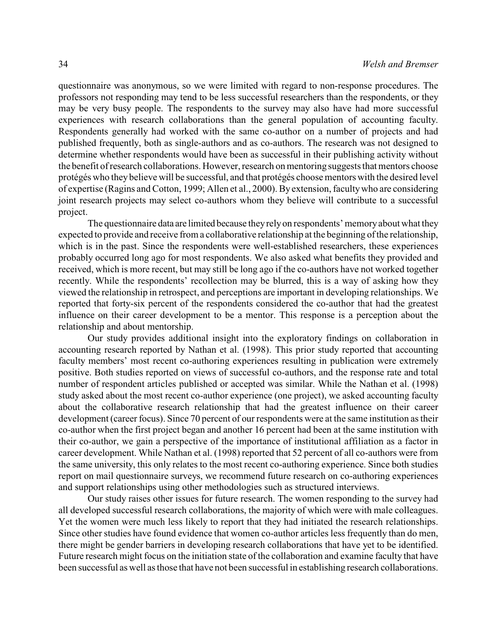questionnaire was anonymous, so we were limited with regard to non-response procedures. The professors not responding may tend to be less successful researchers than the respondents, or they may be very busy people. The respondents to the survey may also have had more successful experiences with research collaborations than the general population of accounting faculty. Respondents generally had worked with the same co-author on a number of projects and had published frequently, both as single-authors and as co-authors. The research was not designed to determine whether respondents would have been as successful in their publishing activity without the benefit of research collaborations. However, research on mentoring suggests that mentors choose protégés who they believe will be successful, and that protégés choose mentors with the desired level of expertise (Ragins and Cotton, 1999; Allen et al., 2000). By extension, faculty who are considering joint research projects may select co-authors whom they believe will contribute to a successful project.

The questionnaire data are limited because they rely on respondents' memory about what they expected to provide and receive from a collaborative relationship at the beginning of the relationship, which is in the past. Since the respondents were well-established researchers, these experiences probably occurred long ago for most respondents. We also asked what benefits they provided and received, which is more recent, but may still be long ago if the co-authors have not worked together recently. While the respondents' recollection may be blurred, this is a way of asking how they viewed the relationship in retrospect, and perceptions are important in developing relationships. We reported that forty-six percent of the respondents considered the co-author that had the greatest influence on their career development to be a mentor. This response is a perception about the relationship and about mentorship.

Our study provides additional insight into the exploratory findings on collaboration in accounting research reported by Nathan et al. (1998). This prior study reported that accounting faculty members' most recent co-authoring experiences resulting in publication were extremely positive. Both studies reported on views of successful co-authors, and the response rate and total number of respondent articles published or accepted was similar. While the Nathan et al. (1998) study asked about the most recent co-author experience (one project), we asked accounting faculty about the collaborative research relationship that had the greatest influence on their career development (career focus). Since 70 percent of our respondents were at the same institution as their co-author when the first project began and another 16 percent had been at the same institution with their co-author, we gain a perspective of the importance of institutional affiliation as a factor in career development. While Nathan et al. (1998) reported that 52 percent of all co-authors were from the same university, this only relates to the most recent co-authoring experience. Since both studies report on mail questionnaire surveys, we recommend future research on co-authoring experiences and support relationships using other methodologies such as structured interviews.

Our study raises other issues for future research. The women responding to the survey had all developed successful research collaborations, the majority of which were with male colleagues. Yet the women were much less likely to report that they had initiated the research relationships. Since other studies have found evidence that women co-author articles less frequently than do men, there might be gender barriers in developing research collaborations that have yet to be identified. Future research might focus on the initiation state of the collaboration and examine faculty that have been successful as well as those that have not been successful in establishing research collaborations.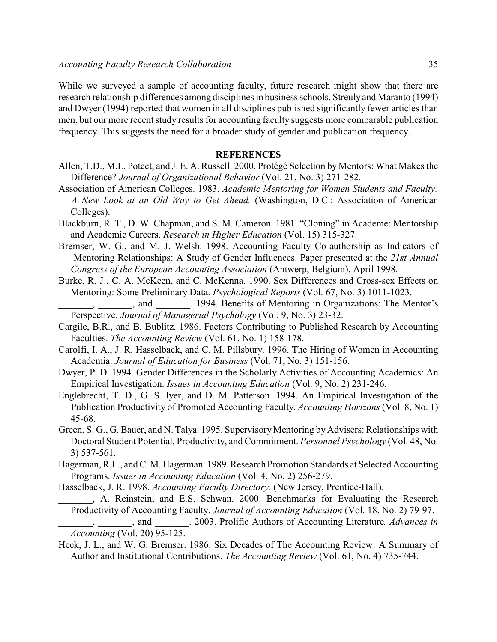While we surveyed a sample of accounting faculty, future research might show that there are research relationship differences among disciplines in business schools. Streuly and Maranto (1994) and Dwyer (1994) reported that women in all disciplines published significantly fewer articles than men, but our more recent study results for accounting faculty suggests more comparable publication frequency. This suggests the need for a broader study of gender and publication frequency.

#### **REFERENCES**

- Allen, T.D., M.L. Poteet, and J. E. A. Russell. 2000. Protégé Selection by Mentors: What Makes the Difference? *Journal of Organizational Behavior* (Vol. 21, No. 3) 271-282.
- Association of American Colleges. 1983. *Academic Mentoring for Women Students and Faculty: A New Look at an Old Way to Get Ahead.* (Washington, D.C.: Association of American Colleges).
- Blackburn, R. T., D. W. Chapman, and S. M. Cameron. 1981. "Cloning" in Academe: Mentorship and Academic Careers. *Research in Higher Education* (Vol. 15) 315-327.
- Bremser, W. G., and M. J. Welsh. 1998. Accounting Faculty Co-authorship as Indicators of Mentoring Relationships: A Study of Gender Influences. Paper presented at the *21st Annual Congress of the European Accounting Association* (Antwerp, Belgium), April 1998.
- Burke, R. J., C. A. McKeen, and C. McKenna. 1990. Sex Differences and Cross-sex Effects on Mentoring: Some Preliminary Data. *Psychological Reports* (Vol. 67, No. 3) 1011-1023.
- \_\_\_\_\_\_\_, \_\_\_\_\_\_\_, and \_\_\_\_\_\_\_. 1994. Benefits of Mentoring in Organizations: The Mentor's Perspective. *Journal of Managerial Psychology* (Vol. 9, No. 3) 23-32.
- Cargile, B.R., and B. Bublitz. 1986. Factors Contributing to Published Research by Accounting Faculties. *The Accounting Review* (Vol. 61, No. 1) 158-178.
- Carolfi, I. A., J. R. Hasselback, and C. M. Pillsbury. 1996. The Hiring of Women in Accounting Academia. *Journal of Education for Business* (Vol. 71, No. 3) 151-156.
- Dwyer, P. D. 1994. Gender Differences in the Scholarly Activities of Accounting Academics: An Empirical Investigation. *Issues in Accounting Education* (Vol. 9, No. 2) 231-246.
- Englebrecht, T. D., G. S. Iyer, and D. M. Patterson. 1994. An Empirical Investigation of the Publication Productivity of Promoted Accounting Faculty. *Accounting Horizons* (Vol. 8, No. 1) 45-68.
- Green, S. G., G. Bauer, and N. Talya. 1995. Supervisory Mentoring by Advisers: Relationships with Doctoral Student Potential, Productivity, and Commitment. *Personnel Psychology* (Vol. 48, No. 3) 537-561.
- Hagerman, R.L., and C. M. Hagerman. 1989. Research Promotion Standards at Selected Accounting Programs. *Issues in Accounting Education* (Vol. 4, No. 2) 256-279.
- Hasselback, J. R. 1998. *Accounting Faculty Directory.* (New Jersey, Prentice-Hall).

- \_\_\_\_\_\_\_, \_\_\_\_\_\_\_, and \_\_\_\_\_\_\_. 2003. Prolific Authors of Accounting Literature*. Advances in Accounting* (Vol. 20) 95-125.
- Heck, J. L., and W. G. Bremser. 1986. Six Decades of The Accounting Review: A Summary of Author and Institutional Contributions. *The Accounting Review* (Vol. 61, No. 4) 735-744.

\_\_\_\_\_\_\_, A. Reinstein, and E.S. Schwan. 2000. Benchmarks for Evaluating the Research Productivity of Accounting Faculty. *Journal of Accounting Education* (Vol. 18, No. 2) 79-97.